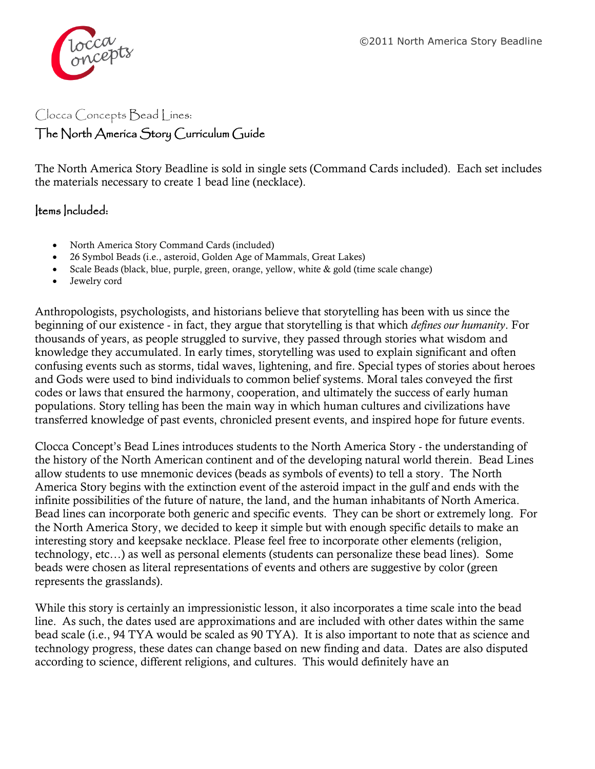

## Clocca Concepts Bead Lines: The North America Story Curriculum Guide

The North America Story Beadline is sold in single sets (Command Cards included). Each set includes the materials necessary to create 1 bead line (necklace).

## Items Included:

- North America Story Command Cards (included)
- 26 Symbol Beads (i.e., asteroid, Golden Age of Mammals, Great Lakes)
- Scale Beads (black, blue, purple, green, orange, yellow, white & gold (time scale change)
- Jewelry cord

Anthropologists, psychologists, and historians believe that storytelling has been with us since the beginning of our existence - in fact, they argue that storytelling is that which *defines our humanity*. For thousands of years, as people struggled to survive, they passed through stories what wisdom and knowledge they accumulated. In early times, storytelling was used to explain significant and often confusing events such as storms, tidal waves, lightening, and fire. Special types of stories about heroes and Gods were used to bind individuals to common belief systems. Moral tales conveyed the first codes or laws that ensured the harmony, cooperation, and ultimately the success of early human populations. Story telling has been the main way in which human cultures and civilizations have transferred knowledge of past events, chronicled present events, and inspired hope for future events.

Clocca Concept's Bead Lines introduces students to the North America Story - the understanding of the history of the North American continent and of the developing natural world therein. Bead Lines allow students to use mnemonic devices (beads as symbols of events) to tell a story. The North America Story begins with the extinction event of the asteroid impact in the gulf and ends with the infinite possibilities of the future of nature, the land, and the human inhabitants of North America. Bead lines can incorporate both generic and specific events. They can be short or extremely long. For the North America Story, we decided to keep it simple but with enough specific details to make an interesting story and keepsake necklace. Please feel free to incorporate other elements (religion, technology, etc…) as well as personal elements (students can personalize these bead lines). Some beads were chosen as literal representations of events and others are suggestive by color (green represents the grasslands).

While this story is certainly an impressionistic lesson, it also incorporates a time scale into the bead line. As such, the dates used are approximations and are included with other dates within the same bead scale (i.e., 94 TYA would be scaled as 90 TYA). It is also important to note that as science and technology progress, these dates can change based on new finding and data. Dates are also disputed according to science, different religions, and cultures. This would definitely have an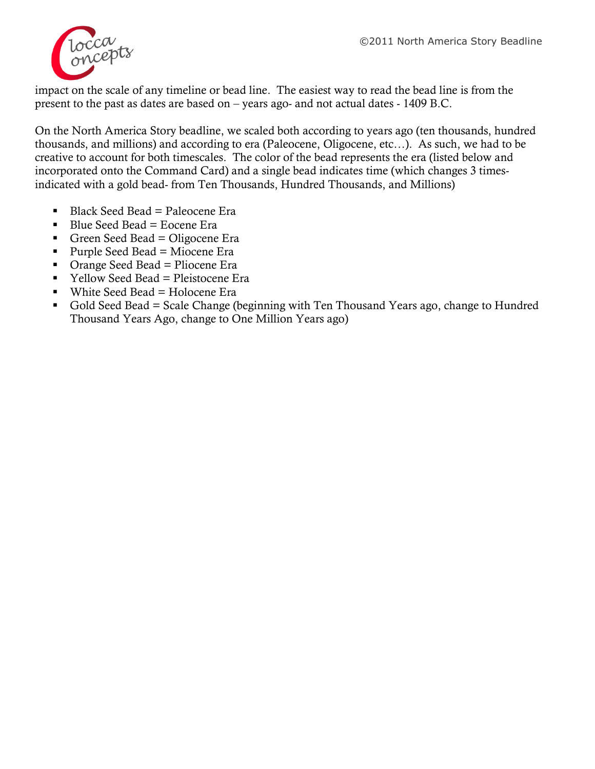

impact on the scale of any timeline or bead line. The easiest way to read the bead line is from the present to the past as dates are based on – years ago- and not actual dates - 1409 B.C.

On the North America Story beadline, we scaled both according to years ago (ten thousands, hundred thousands, and millions) and according to era (Paleocene, Oligocene, etc…). As such, we had to be creative to account for both timescales. The color of the bead represents the era (listed below and incorporated onto the Command Card) and a single bead indicates time (which changes 3 timesindicated with a gold bead- from Ten Thousands, Hundred Thousands, and Millions)

- $Blace$  Seed Bead = Paleocene Era
- $\blacksquare$  Blue Seed Bead = Eocene Era
- Green Seed Bead = Oligocene Era
- Purple Seed Bead = Miocene Era
- $\blacksquare$  Orange Seed Bead = Pliocene Era
- $\blacksquare$  Yellow Seed Bead = Pleistocene Era
- White Seed Bead  $=$  Holocene Era
- Gold Seed Bead = Scale Change (beginning with Ten Thousand Years ago, change to Hundred Thousand Years Ago, change to One Million Years ago)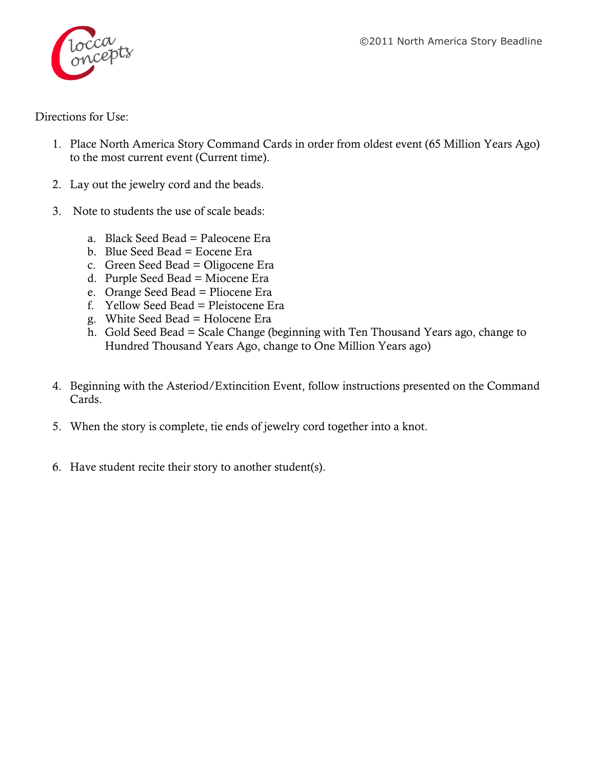

Directions for Use:

- 1. Place North America Story Command Cards in order from oldest event (65 Million Years Ago) to the most current event (Current time).
- 2. Lay out the jewelry cord and the beads.
- 3. Note to students the use of scale beads:
	- a. Black Seed Bead = Paleocene Era
	- b. Blue Seed Bead = Eocene Era
	- c. Green Seed Bead = Oligocene Era
	- d. Purple Seed Bead = Miocene Era
	- e. Orange Seed Bead = Pliocene Era
	- f. Yellow Seed Bead = Pleistocene Era
	- g. White Seed Bead = Holocene Era
	- h. Gold Seed Bead = Scale Change (beginning with Ten Thousand Years ago, change to Hundred Thousand Years Ago, change to One Million Years ago)
- 4. Beginning with the Asteriod/Extincition Event, follow instructions presented on the Command Cards.
- 5. When the story is complete, tie ends of jewelry cord together into a knot.
- 6. Have student recite their story to another student(s).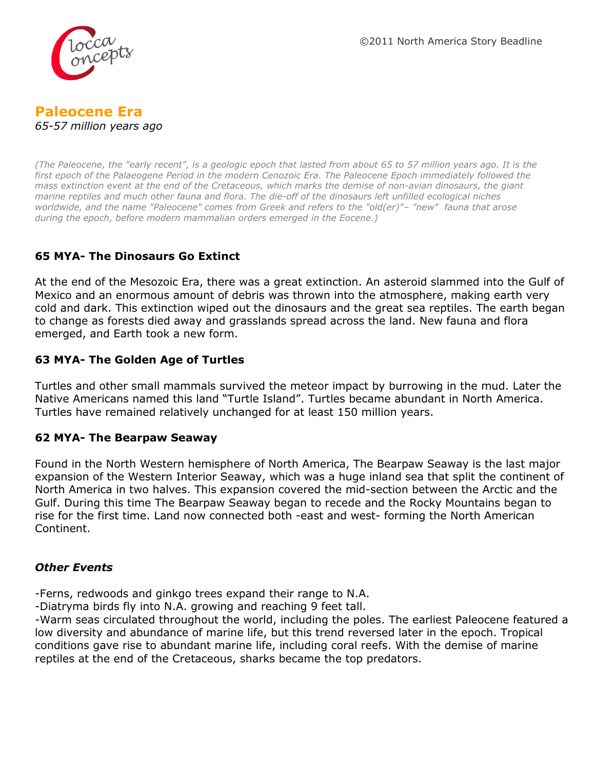



*(The Paleocene, the "early recent", is a geologic [epoch](http://en.wikipedia.org/wiki/Epoch_%28geology%29) that lasted from about [65](http://toolserver.org/~verisimilus/Timeline/Timeline.php?Ma=65.5%E2%80%9356) to 57 million years ago. It is the first epoch of the [Palaeogene](http://en.wikipedia.org/wiki/Palaeogene) [Period](http://en.wikipedia.org/wiki/Period_%28geology%29) in the modern [Cenozoic](http://en.wikipedia.org/wiki/Cenozoic) [Era.](http://en.wikipedia.org/wiki/Era_%28geology%29) The Paleocene Epoch immediately followed the mass [extinction event](http://en.wikipedia.org/wiki/Extinction_event) at the end of the [Cretaceous,](http://en.wikipedia.org/wiki/Cretaceous) which marks the demise of non-avian [dinosaurs,](http://en.wikipedia.org/wiki/Dinosaur) the giant [marine reptiles](http://en.wikipedia.org/wiki/Marine_reptiles) and much other [fauna](http://en.wikipedia.org/wiki/Fauna) and [flora.](http://en.wikipedia.org/wiki/Flora) The die-off of the dinosaurs left unfilled ecological niches worldwide, and the name "Paleocene" comes from Greek and refers to the "old(er)"– "new" fauna that arose during the epoch, before modern [mammalian](http://en.wikipedia.org/wiki/Mammal) [orders](http://en.wikipedia.org/wiki/Linnaean_taxonomy) emerged in the [Eocene.](http://en.wikipedia.org/wiki/Eocene))*

## **65 MYA- The Dinosaurs Go Extinct**

At the end of the Mesozoic Era, there was a great extinction. An asteroid slammed into the Gulf of Mexico and an enormous amount of debris was thrown into the atmosphere, making earth very cold and dark. This extinction wiped out the dinosaurs and the great sea reptiles. The earth began to change as forests died away and grasslands spread across the land. New fauna and flora emerged, and Earth took a new form.

#### **63 MYA- The Golden Age of Turtles**

Turtles and other small mammals survived the meteor impact by burrowing in the mud. Later the Native Americans named this land "Turtle Island". Turtles became abundant in North America. Turtles have remained relatively unchanged for at least 150 million years.

#### **62 MYA- The Bearpaw Seaway**

Found in the North Western hemisphere of North America, The Bearpaw Seaway is the last major expansion of the Western Interior Seaway, which was a huge inland sea that split the continent of North America in two halves. This expansion covered the mid-section between the Arctic and the Gulf. During this time The Bearpaw Seaway began to recede and the Rocky Mountains began to rise for the first time. Land now connected both -east and west- forming the North American Continent.

#### *Other Events*

-Ferns, redwoods and ginkgo trees expand their range to N.A.

-Diatryma birds fly into N.A. growing and reaching 9 feet tall.

-Warm seas circulated throughout the world, including the poles. The earliest Paleocene featured a low diversity and abundance of marine life, but this trend reversed later in the epoch. Tropical conditions gave rise to abundant marine life, including [coral reefs.](http://en.wikipedia.org/wiki/Coral_reef) With the demise of marine reptiles at the end of the Cretaceous, [sharks](http://en.wikipedia.org/wiki/Shark) became the top predators.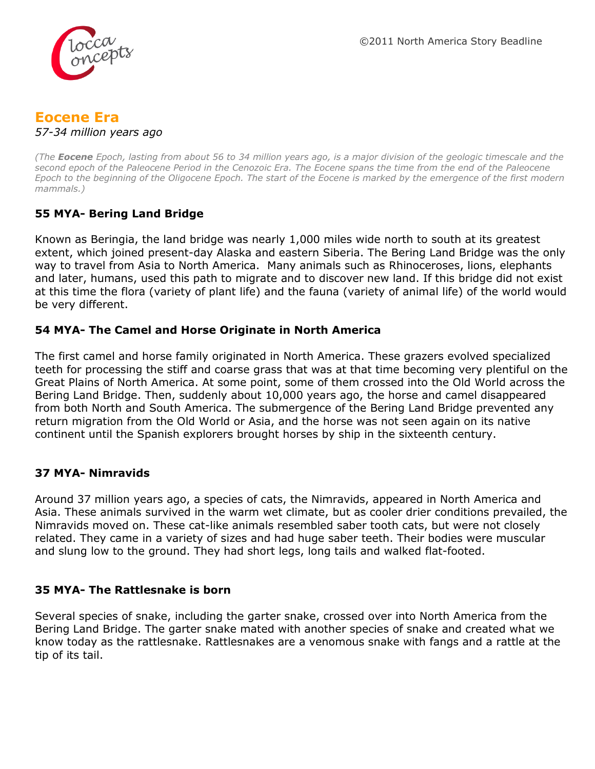

# **Eocene Era**

*57-34 million years ago*

*(The Eocene Epoch, lasting from about 56 to 34 million years ago, is a major division of the [geologic timescale](http://en.wikipedia.org/wiki/Geologic_timescale) and the second epoch of the [Paleocene](http://en.wikipedia.org/wiki/Paleogene) Period in the [Cenozoic](http://en.wikipedia.org/wiki/Cenozoic) Era. The Eocene spans the time from the end of the [Paleocene](http://en.wikipedia.org/wiki/Palaeocene) Epoch to the beginning of the [Oligocene](http://en.wikipedia.org/wiki/Oligocene) Epoch. The start of the Eocene is marked by the emergence of the first modern [mammals.](http://en.wikipedia.org/wiki/Mammal))*

## **55 MYA- Bering Land Bridge**

Known as Beringia, the land bridge was nearly 1,000 miles wide north to south at its greatest extent, which joined present-day [Alaska](http://en.wikipedia.org/wiki/Alaska) and eastern [Siberia.](http://en.wikipedia.org/wiki/Siberia) The Bering Land Bridge was the only way to travel from Asia to North America. Many animals such as Rhinoceroses, lions, elephants and later, humans, used this path to migrate and to discover new land. If this bridge did not exist at this time the flora (variety of plant life) and the fauna (variety of animal life) of the world would be very different.

## **54 MYA- The Camel and Horse Originate in North America**

The first camel and horse family originated in North America. These grazers evolved specialized teeth for processing the stiff and coarse grass that was at that time becoming very plentiful on the Great Plains of North America. At some point, some of them crossed into the Old World across the Bering Land Bridge. Then, suddenly about 10,000 years ago, the horse and camel disappeared from both North and South America. The submergence of the Bering Land Bridge prevented any return migration from the Old World or Asia, and the horse was not seen again on its native continent until the Spanish explorers brought horses by ship in the sixteenth century.

## **37 MYA- Nimravids**

Around 37 million years ago, a species of cats, the Nimravids, appeared in North America and Asia. These animals survived in the warm wet climate, but as cooler drier conditions prevailed, the Nimravids moved on. These cat-like animals resembled saber tooth cats, but were not closely related. They came in a variety of sizes and had huge saber teeth. Their bodies were muscular and slung low to the ground. They had short legs, long tails and walked flat-footed.

## **35 MYA- The Rattlesnake is born**

Several species of snake, including the garter snake, crossed over into North America from the Bering Land Bridge. The garter snake mated with another species of snake and created what we know today as the rattlesnake. Rattlesnakes are a venomous snake with fangs and a rattle at the tip of its tail.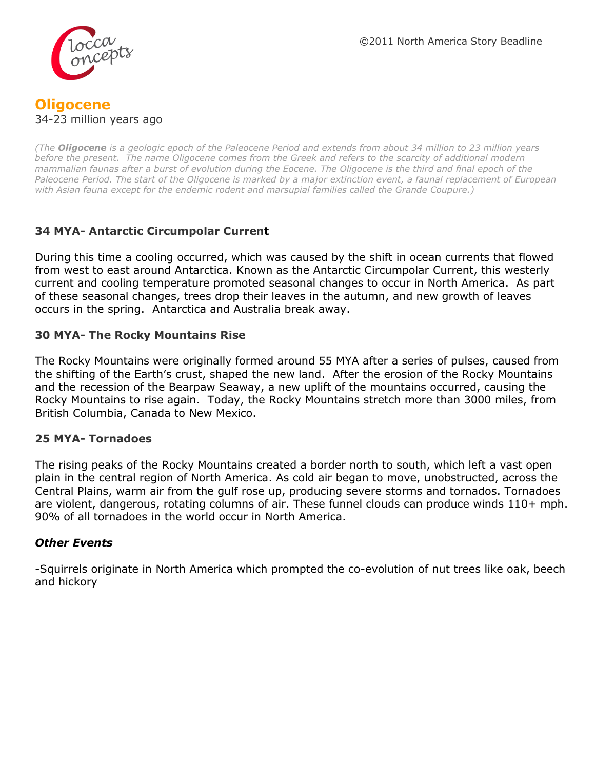

## **Oligocene** 34-23 million years ago

*(The Oligocene is a geologic [epoch](http://en.wikipedia.org/wiki/Epoch_%28geology%29) of the [Paleocene](http://en.wikipedia.org/wiki/Paleogene) [Period](http://en.wikipedia.org/wiki/Geologic_Timescale) and extends from about 34 million to 23 million years before the present. The name Oligocene comes from the Greek and refers to the scarcity of additional modern [mammalian](http://en.wikipedia.org/wiki/Mammal) faunas after a burst of [evolution](http://en.wikipedia.org/wiki/Evolution) during the [Eocene.](http://en.wikipedia.org/wiki/Eocene) The Oligocene is the third and final epoch of the [Paleocene](http://en.wikipedia.org/wiki/Paleogene) Period. The start of the Oligocene is marked by a major [extinction event,](http://en.wikipedia.org/wiki/Extinction_event) a faunal replacement of [European](http://en.wikipedia.org/wiki/Europe) with [Asian](http://en.wikipedia.org/wiki/Asia) [fauna](http://en.wikipedia.org/wiki/Fauna) except for the endemic [rodent](http://en.wikipedia.org/wiki/Rodent) and [marsupial](http://en.wikipedia.org/wiki/Marsupial) families called the [Grande Coupure.](http://en.wikipedia.org/wiki/Eocene#Grande_Coupure))*

## **34 MYA- Antarctic Circumpolar Current**

During this time a cooling occurred, which was caused by the shift in ocean currents that flowed from west to east around Antarctica. Known as the Antarctic Circumpolar Current, this westerly current and cooling temperature promoted seasonal changes to occur in North America. As part of these seasonal changes, trees drop their leaves in the autumn, and new growth of leaves occurs in the spring. Antarctica and Australia break away.

## **30 MYA- The Rocky Mountains Rise**

The Rocky Mountains were originally formed around 55 MYA after a series of pulses, caused from the shifting of the Earth's crust, shaped the new land. After the erosion of the Rocky Mountains and the recession of the Bearpaw Seaway, a new uplift of the mountains occurred, causing the Rocky Mountains to rise again. Today, the Rocky Mountains stretch more than 3000 miles, from British Columbia, Canada to New Mexico.

#### **25 MYA- Tornadoes**

The rising peaks of the Rocky Mountains created a border north to south, which left a vast open plain in the central region of North America. As cold air began to move, unobstructed, across the Central Plains, warm air from the gulf rose up, producing severe storms and tornados. Tornadoes are violent, dangerous, rotating columns of air. These funnel clouds can produce winds 110+ mph. 90% of all tornadoes in the world occur in North America.

#### *Other Events*

-Squirrels originate in North America which prompted the co-evolution of nut trees like oak, beech and hickory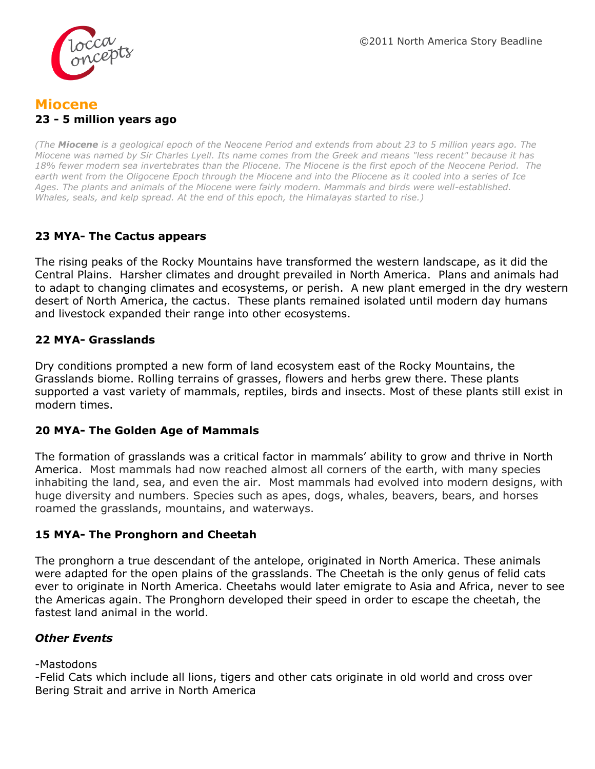

## **Miocene 23 - 5 million years ago**

*(The Miocene is a [geological epoch](http://en.wikipedia.org/wiki/Geologic_time_scale) of the [Neocene](http://en.wikipedia.org/wiki/Neogene) Period and extends from about 23 to 5 million years ago. The Miocene was named by [Sir Charles Lyell.](http://en.wikipedia.org/wiki/Sir_Charles_Lyell) Its name comes from the Greek and means "less recent" because it has 18% fewer modern sea [invertebrates](http://en.wikipedia.org/wiki/Invertebrates) than the [Pliocene.](http://en.wikipedia.org/wiki/Pliocene) The Miocene is the first epoch of the [Neocene](http://en.wikipedia.org/wiki/Neogene) Period. The earth went from the Oligocene Epoch through the Miocene and into the Pliocene as it cooled into a series of [Ice](http://en.wikipedia.org/wiki/Ice_Age)  [Ages.](http://en.wikipedia.org/wiki/Ice_Age) The plants and animals of the Miocene were fairly modern. Mammals and birds were well-established. Whales, seals, and kelp spread. At the end of this epoch, the Himalayas started to rise.)*

## **23 MYA- The Cactus appears**

The rising peaks of the Rocky Mountains have transformed the western landscape, as it did the Central Plains. Harsher climates and drought prevailed in North America. Plans and animals had to adapt to changing climates and ecosystems, or perish. A new plant emerged in the dry western desert of North America, the cactus. These plants remained isolated until modern day humans and livestock expanded their range into other ecosystems.

## **22 MYA- Grasslands**

Dry conditions prompted a new form of land ecosystem east of the Rocky Mountains, the Grasslands biome. Rolling terrains of grasses, flowers and herbs grew there. These plants supported a vast variety of mammals, reptiles, birds and insects. Most of these plants still exist in modern times.

#### **20 MYA- The Golden Age of Mammals**

The formation of grasslands was a critical factor in mammals' ability to grow and thrive in North America. Most mammals had now reached almost all corners of the earth, with many species inhabiting the land, sea, and even the air. Most mammals had evolved into modern designs, with huge diversity and numbers. Species such as apes, dogs, whales, beavers, bears, and horses roamed the grasslands, mountains, and waterways.

#### **15 MYA- The Pronghorn and Cheetah**

The pronghorn a true descendant of the antelope, originated in North America. These animals were adapted for the open plains of the grasslands. The Cheetah is the only genus of felid cats ever to originate in North America. Cheetahs would later emigrate to Asia and Africa, never to see the Americas again. The Pronghorn developed their speed in order to escape the cheetah, the fastest land animal in the world.

## *Other Events*

#### -Mastodons

-Felid Cats which include all lions, tigers and other cats originate in old world and cross over Bering Strait and arrive in North America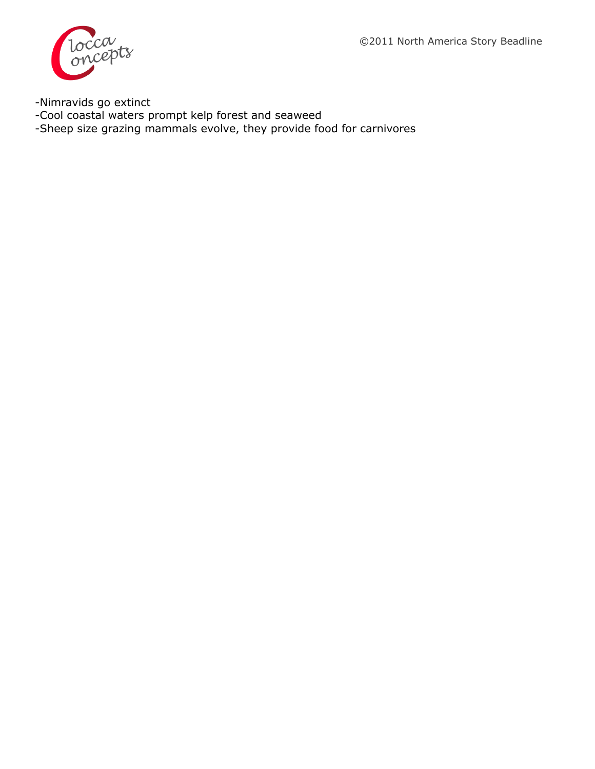©2011 North America Story Beadline



-Nimravids go extinct

-Cool coastal waters prompt kelp forest and seaweed

-Sheep size grazing mammals evolve, they provide food for carnivores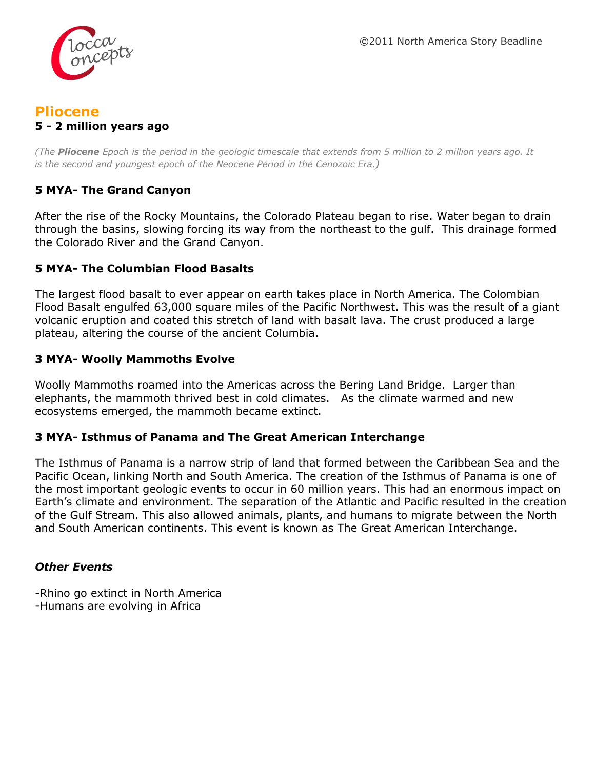

## **Pliocene 5 - 2 million years ago**

*(The Pliocene [Epoch](http://en.wikipedia.org/wiki/Epoch_%28geology%29) is the period in the [geologic timescale](http://en.wikipedia.org/wiki/Geologic_timescale) that extends from 5 million to 2 million years ago. It is the second and youngest epoch of the [Neocene](http://en.wikipedia.org/wiki/Neogene) Period in the [Cenozoic Era](http://en.wikipedia.org/wiki/Cenozoic).)* 

## **5 MYA- The Grand Canyon**

After the rise of the Rocky Mountains, the Colorado Plateau began to rise. Water began to drain through the basins, slowing forcing its way from the northeast to the gulf. This drainage formed the Colorado River and the Grand Canyon.

## **5 MYA- The Columbian Flood Basalts**

The largest flood basalt to ever appear on earth takes place in North America. The Colombian Flood Basalt engulfed 63,000 square miles of the Pacific Northwest. This was the result of a giant volcanic eruption and coated this stretch of land with basalt lava. The crust produced a large plateau, altering the course of the ancient Columbia.

#### **3 MYA- Woolly Mammoths Evolve**

Woolly Mammoths roamed into the Americas across the Bering Land Bridge. Larger than elephants, the mammoth thrived best in cold climates. As the climate warmed and new ecosystems emerged, the mammoth became extinct.

#### **3 MYA- Isthmus of Panama and The Great American Interchange**

The Isthmus of Panama is a narrow strip of land that formed between the Caribbean Sea and the Pacific Ocean, linking North and South America. The creation of the Isthmus of Panama is one of the most important geologic events to occur in 60 million years. This had an enormous impact on Earth's climate and environment. The separation of the Atlantic and Pacific resulted in the creation of the Gulf Stream. This also allowed animals, plants, and humans to migrate between the North and South American continents. This event is known as The Great American Interchange.

#### *Other Events*

-Rhino go extinct in North America -Humans are evolving in Africa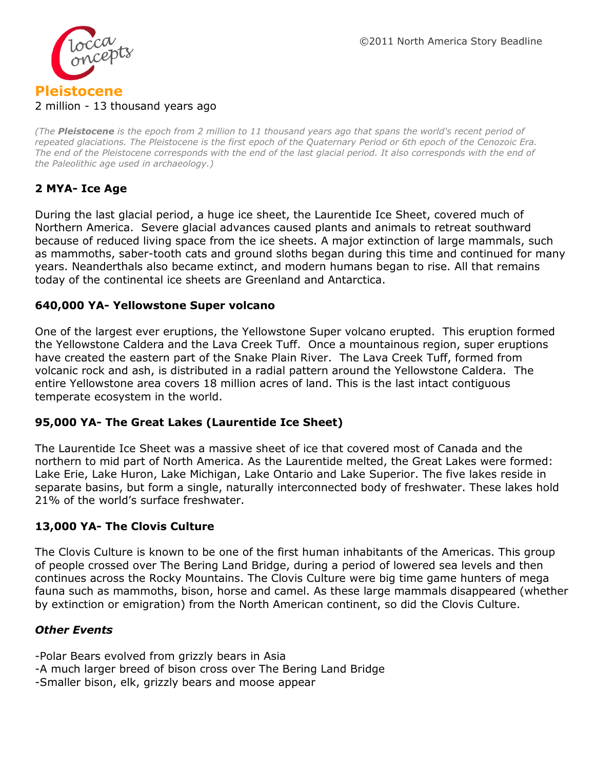

#### 2 million - 13 thousand years ago

*(The Pleistocene is the [epoch](http://en.wikipedia.org/wiki/Epoch_%28geology%29) from 2 million to 11 thousand years [ago](http://en.wikipedia.org/wiki/Before_Present) that spans the world's recent period of repeated [glaciations.](http://en.wikipedia.org/wiki/Glaciation) The Pleistocene is the first epoch of the [Quaternary](http://en.wikipedia.org/wiki/Quaternary) [Period](http://en.wikipedia.org/wiki/Period_%28geology%29) or 6th epoch of the [Cenozoic](http://en.wikipedia.org/wiki/Cenozoic) [Era.](http://en.wikipedia.org/wiki/Era_%28geology%29) The end of the Pleistocene corresponds with the end of the [last glacial period.](http://en.wikipedia.org/wiki/Last_glacial_period) It also corresponds with the end of the [Paleolithic](http://en.wikipedia.org/wiki/Paleolithic) age used in [archaeology.](http://en.wikipedia.org/wiki/Archaeology))*

## **2 MYA- Ice Age**

During the last glacial period, a huge ice sheet, the Laurentide Ice Sheet, covered much of Northern America. Severe glacial advances caused plants and animals to retreat southward because of reduced living space from the ice sheets. A major extinction of large mammals, such as mammoths, saber-tooth cats and ground sloths began during this time and continued for many years. Neanderthals also became extinct, and modern humans began to rise. All that remains today of the continental ice sheets are Greenland and Antarctica.

#### **640,000 YA- Yellowstone Super volcano**

One of the largest ever eruptions, the Yellowstone Super volcano erupted. This eruption formed the Yellowstone Caldera and the Lava Creek Tuff. Once a mountainous region, super eruptions have created the eastern part of the Snake Plain River. The Lava Creek Tuff, formed from volcanic rock and ash, is distributed in a radial pattern around the Yellowstone Caldera. The entire Yellowstone area covers 18 million acres of land. This is the last intact contiguous temperate ecosystem in the world.

#### **95,000 YA- The Great Lakes (Laurentide Ice Sheet)**

The Laurentide Ice Sheet was a massive sheet of ice that covered most of Canada and the northern to mid part of North America. As the Laurentide melted, the Great Lakes were formed: Lake Erie, Lake Huron, Lake Michigan, Lake Ontario and Lake Superior. The five lakes reside in separate basins, but form a single, naturally interconnected body of freshwater. These lakes hold 21% of the world's surface freshwater.

#### **13,000 YA- The Clovis Culture**

The Clovis Culture is known to be one of the first human inhabitants of the Americas. This group of people crossed over The Bering Land Bridge, during a period of lowered sea levels and then continues across the Rocky Mountains. The Clovis Culture were big time game hunters of mega fauna such as mammoths, bison, horse and camel. As these large mammals disappeared (whether by extinction or emigration) from the North American continent, so did the Clovis Culture.

#### *Other Events*

- -Polar Bears evolved from grizzly bears in Asia
- -A much larger breed of bison cross over The Bering Land Bridge
- -Smaller bison, elk, grizzly bears and moose appear